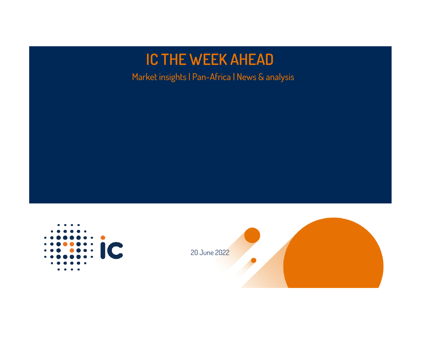# **IC THE WEEK AHEAD**

Market insights | Pan-Africa | News & analysis



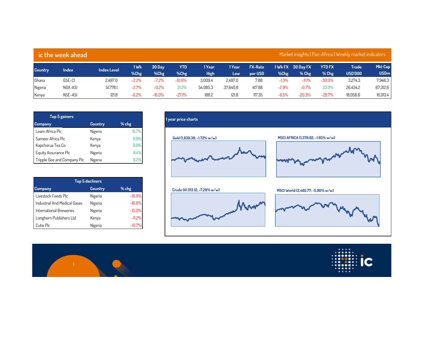| Market insights   Pan-Africa   Weekly market indicators  <br>ic the week ahead |         |                    |              |                |                |                       |                |                           |         |                              |                          |                         |                                   |
|--------------------------------------------------------------------------------|---------|--------------------|--------------|----------------|----------------|-----------------------|----------------|---------------------------|---------|------------------------------|--------------------------|-------------------------|-----------------------------------|
| Country                                                                        | Index   | <b>Index Level</b> | 1 Wk<br>%Chg | 30 Day<br>%Chg | YTD<br>$%$ Chg | 1 Year<br><b>High</b> | 1 Year<br>Low. | <b>FX-Rate</b><br>per USD | %Chg    | 1 Wk FX 30 Day FX<br>$%$ Chg | <b>YTD FX</b><br>$%$ Chg | Trade<br><b>USD'000</b> | Mkt Cap<br><b>USD<sub>m</sub></b> |
| Ghana                                                                          | GSE-CI  | 2.497.0            | $-2.2%$      | $-7.2%$        | $-10.6%$       | 3.009.4               | 2.497.0        | 7.88                      | $-1.3%$ | $-11.1%$                     | $-30.0\%$                | 3.274.3                 | 7,946.3                           |
| Nigeria                                                                        | NGX-ASI | 51.778.1           | $-2.7%$      | $-0.2%$        | 21.2%          | 54.085.3              | 37.640.8       | 417.88                    | $-2.9%$ | $-0.7%$                      | 23.0%                    | 26.434.2                | 67,312.6                          |
| Kenya                                                                          | NSE-ASI | 121.8              | $-6.2%$      | $-16.0%$       | $-27.1%$       | 188.2                 | 121.8          | 117.35                    | $-6.5%$ | $-20.3%$                     | $-29.7%$                 | 18.056.6                | 16,013.4                          |

| <b>Top 5 gainers</b>        |         |         |
|-----------------------------|---------|---------|
| <b>Company</b>              | Country | $%$ chg |
| Learn Africa Plc            | Nigeria | 15.7%   |
| Sameer Africa Plc           | Kenya   | 11.9%   |
| Kapchorua Tea Co            | Kenya   | 9.9%    |
| Equity Assurance Plc        | Nigeria | 9.4%    |
| Tripple Gee and Company Plc | Nigeria | 9.2%    |

| <b>Top 5 decliners</b>         |         |          |  |  |  |  |  |
|--------------------------------|---------|----------|--|--|--|--|--|
| <b>Company</b>                 | Country | $%$ chg  |  |  |  |  |  |
| Livestock Feeds Plc            | Nigeria | $-16.9%$ |  |  |  |  |  |
| Industrial And Medical Gases   | Nigeria | $-16.8%$ |  |  |  |  |  |
| <b>International Breweries</b> | Nigeria | $-15.0%$ |  |  |  |  |  |
| Longhorn Publishers Ltd        | Kenya   | $-11.2%$ |  |  |  |  |  |
| Cutix Plc                      | Nigeria | $-10.79$ |  |  |  |  |  |



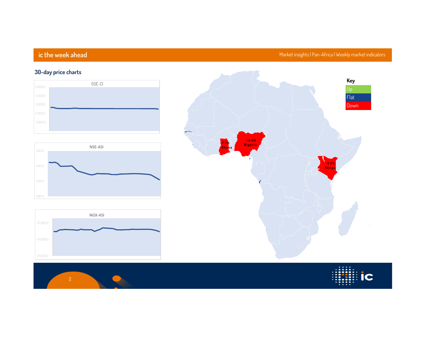# **ic the week ahead Market insights | Pan-Africa | Weekly market indicators**

# **30-day price charts 4,000.0 GSE-CI**







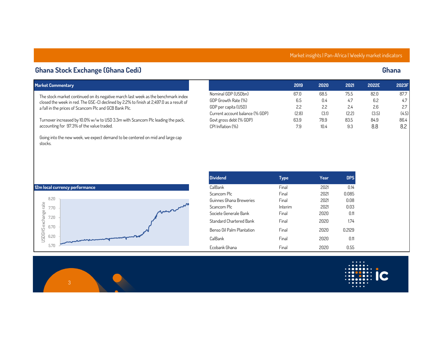### **Market insights | Pan-Africa | Weekly market indicators**

### **Ghana Stock Exchange (Ghana Cedi) Ghana**

**a fall in the prices of Scancom Plc and GCB Bank Plc.** 

**accounting for 97.3% of the value traded.**

**Market Commentary 2019 2020 2021 2022E 2023F**

**stocks.**

|                                 | 2019  | 2020  | 2021 | 2022E | 2023F |
|---------------------------------|-------|-------|------|-------|-------|
| Nominal GDP (USDbn)             | 67.0  | 68.5  | 75.5 | 82.0  | 87.7  |
| GDP Growth Rate (%)             | 6.5   | 0.4   | 4.7  | 6.2   | 4.7   |
| GDP per capita (USD)            | 2.2   | 2.2   | 24   | 2.6   | 2.7   |
| Current account balance (% GDP) | (2.8) | (3.1) | (22) | (3.5) | (4.5) |
| Govt gross debt (% GDP)         | 63.9  | 78.9  | 83.5 | 84.9  | 86.4  |
| CPI Inflation (%)               | 7.9   | 10.4  | 9.3  | 8.8   | 8.2   |

**Going into the new week, we expect demand to be centered on mid and large cap** 

**The stock market continued on its negative march last week as the benchmark index closed the week in red. The GSE-CI declined by 2.2% to finish at 2,497.0 as a result of** 

**Turnover increased by 10.0% w/w to USD 3.3m with Scancom Plc leading the pack,** 



| <b>Dividend</b>           | Type    | Year | <b>DPS</b> |
|---------------------------|---------|------|------------|
| CalBank                   | Final   | 2021 | 014        |
| Scancom Plc               | Final   | 2021 | 0085       |
| Guinnes Ghana Breweries   | Final   | 2021 | 008        |
| Scancom Plc               | Interim | 2021 | 0 O.3      |
| Societe Generale Bank     | Final   | 2020 | 0 11       |
| Standard Chartered Bank   | Final   | 2020 | 174        |
| Benso Oil Palm Plantation | Final   | 2020 | 0.2129     |
| CalBank                   | Final   | 2020 | 0.11       |
| Frobank Ghana             | Final   | 2020 | 0.55       |

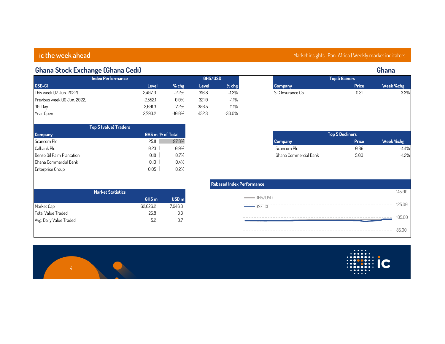### **Ghana Stock Exchange (Ghana Cedi) Ghana GSE-CI Level % chg Level % chg Company Price Week %chg This week (17 Jun. 2022) 2,497.0 -2.2% 316.8 -1.3% SIC Insurance Co 0.31 3.3% Previous week (10 Jun. 2022) 2,552.1 0.0% 321.0 -1.1% 30-Day 2,691.3 -7.2% 356.5 -11.1% Year Open 2,793.2 -10.6% 452.3 -30.0% Scancom Plc 25.11 97.3% Company Price Week %chg Calbank Plc 0.23 0.9% Scancom Plc 0.86 -4.4% Benso Oil Palm Plantation 0.18 0.7% Ghana Commercial Bank 5.00 -1.2% Rebased Index GHS m USD m Market Statistics Top 5 Decliners Top 5 Gainers Top 5 (value) Traders GHS/USD GSE-CI**

| <b>Index Performance</b>     |         |           |       | GHS/USD |
|------------------------------|---------|-----------|-------|---------|
| <b>GSE-CI</b>                | Level   | $%$ chg   | Level | % ch    |
| This week (17 Jun. 2022)     | 2.497.0 | $-2.2%$   | 316.8 | $-1.3$  |
| Previous week (10 Jun. 2022) | 2.552.1 | $0.0\%$   | 321.0 | $-1.1$  |
| 30-Day                       | 2.691.3 | $-7.2%$   | 356.5 | $-11.1$ |
| Year Open                    | 2.793.2 | $-10.6\%$ | 452.3 | -30.0'  |

| Top 5 (Value) Traders     |                  |  |  |  |  |  |  |
|---------------------------|------------------|--|--|--|--|--|--|
| <b>Company</b>            | GHS m % of Total |  |  |  |  |  |  |
| Scancom Plc               | 97.3%<br>25.11   |  |  |  |  |  |  |
| Calbank Plc               | 0.9%<br>0.23     |  |  |  |  |  |  |
| Benso Oil Palm Plantation | 0.7%<br>0.18     |  |  |  |  |  |  |
| Ghana Commercial Bank     | 0.4%<br>0.10     |  |  |  |  |  |  |
| Enterprise Group          | 0.2%<br>0.05     |  |  |  |  |  |  |
|                           |                  |  |  |  |  |  |  |

| <b>Market Statistics</b>  |                  |                  |
|---------------------------|------------------|------------------|
|                           | GHS <sub>m</sub> | USD <sub>m</sub> |
| Market Cap                | 62.626.2         | 7.946.3          |
| <b>Total Value Traded</b> | 258              | 3.3              |
| Avg. Daily Value Traded   | 52               | 07               |

| lex Performance                        |        |
|----------------------------------------|--------|
| -----<br>-GHS/USD                      | 145 AA |
| and the first time<br>$GSE-CI$         | 125 00 |
| --------                               | 105.00 |
| -------------------------------------- | 8500   |



| <b>Top 5 Decliners</b> |       |           |  |  |  |  |  |  |
|------------------------|-------|-----------|--|--|--|--|--|--|
| <b>Company</b>         | Price | Week %chg |  |  |  |  |  |  |
| Scancom Plc            | 0.86  | $-4.4%$   |  |  |  |  |  |  |
| Ghana Commercial Bank  | 500   | $-12%$    |  |  |  |  |  |  |

### **ic the week ahead Market insights | Pan-Africa | Weekly market indicators**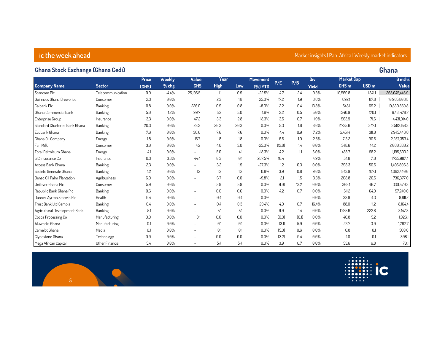# **ic the week ahead Market indicators is a market insights and interventional market insights | Pan-Africa | Weekly market indicators**

### **Ghana Stock Exchange (Ghana Cedi) Ghana**

|                               |                   | <b>Price</b> | Weekly  | Value                    | Year        |      | <b>Movement</b> |        |                          | Div.         | <b>Market Cap</b> |                  | 6 mths        |
|-------------------------------|-------------------|--------------|---------|--------------------------|-------------|------|-----------------|--------|--------------------------|--------------|-------------------|------------------|---------------|
| <b>Company Name</b>           | <b>Sector</b>     | (GHS)        | % chg   | <b>GHS</b>               | <b>High</b> | Low  | <b>(%) YTD</b>  | P/E    | P/B                      | <b>Yield</b> | GHS <sub>m</sub>  | USD <sub>m</sub> | Value         |
| Scancom Plc                   | Telecommunication | 0.9          | $-4.4%$ | 25,105.5                 | 1.1         | 0.9  | $-22.5%$        | 4.7    | 2.4                      | 9.3%         | 10,569.8          | 1,341.1          | 268.045.446.9 |
| Guinness Ghana Breweries      | Consumer          | 2.3          | 0.0%    | $\overline{\phantom{a}}$ | 2.3         | 1.8  | 25.0%           | 17.2   | 1.9                      | 3.6%         | 692.1             | 87.8             | 10,965,806.8  |
| Calbank Plc                   | Banking           | 0.8          | 0.0%    | 226.0                    | 0.9         | 0.8  | $-8.0%$         | 2.2    | 0.4                      | 13.8%        | 545.1             | 69.2             | 10,830,859.8  |
| Ghana Commercial Bank         | Banking           | 5.0          | $-1.2%$ | 99.7                     | 5.2         | 5.0  | $-4.6%$         | 2.2    | 0.5                      | 5.0%         | 1,340.9           | 170.1            | 6,451,478.7   |
| Enterprise Group              | Insurance         | 3.3          | 0.0%    | 47.2                     | 3.3         | 2.8  | 18.3%           | 3.5    | 0.7                      | 1.9%         | 563.9             | 71.6             | 4,431,914.0   |
| Standard Chartered Bank Ghana | Banking           | 20.3         | 0.0%    | 28.3                     | 20.3        | 20.3 | 0.0%            | 5.3    | 1.6                      | 8.6%         | 2,735.6           | 347.1            | 3,582,158.3   |
| Ecobank Ghana                 | Banking           | 7.6          | 0.0%    | 36.6                     | 7.6         | 7.6  | 0.0%            | 4.4    | 0.9                      | 7.2%         | 2,451.4           | 311.0            | 2,945,446.6   |
| Ghana Oil Company             | Energy            | 1.8          | 0.0%    | 15.7                     | 1.8         | 1.8  | 0.0%            | 6.5    | 1.0                      | 2.5%         | 713.2             | 90.5             | 2,257,353.4   |
| <b>Fan Milk</b>               | Consumer          | 3.0          | 0.0%    | 4.2                      | 4.0         | 3.0  | $-25.0%$        | (12.8) | 14                       | 0.0%         | 348.6             | 44.2             | 2,060,330.2   |
| Total Petroleum Ghana         | Energy            | 4.1          | 0.0%    | $\overline{\phantom{0}}$ | 5.0         | 4.1  | $-18.3%$        | 4.2    | 1.1                      | 6.0%         | 458.7             | 58.2             | 1,195,503.2   |
| SIC Insurance Co              | Insurance         | 0.3          | 3.3%    | 44.4                     | 0.3         | 0.1  | 287.5%          | 10.4   | $\overline{\phantom{a}}$ | 4.9%         | 54.8              | 7.0              | 1,735,987.4   |
| Access Bank Ghana             | Banking           | 2.3          | 0.0%    | $\overline{\phantom{0}}$ | 3.2         | 1.9  | $-27.3%$        | 1.2    | 0.3                      | 0.0%         | 398.3             | 50.5             | 1,405,806.3   |
| Societe Generale Ghana        | Banking           | 1.2          | 0.0%    | 1.2                      | 1.2         | 1.2  | $-0.8%$         | 3.9    | 0.8                      | 9.6%         | 843.9             | 107.1            | 1,092,440.6   |
| Benso Oil Palm Plantation     | Agribusiness      | 6.0          | 0.0%    |                          | 6.7         | 6.0  | $-9.8%$         | 2.1    | 1.5                      | 3.5%         | 208.8             | 26.5             | 736,377.0     |
| Unilever Ghana Plc            | Consumer          | 5.9          | 0.0%    | $\overline{\phantom{a}}$ | 5.9         | 5.9  | 0.0%            | (9.0)  | 13.2                     | 0.0%         | 368.1             | 46.7             | 330,570.3     |
| Republic Bank Ghana Plc       | Banking           | 0.6          | 0.0%    | $\overline{\phantom{a}}$ | 0.6         | 0.6  | $0.0\%$         | 4.2    | 0.7                      | 0.0%         | 511.2             | 64.9             | 57,240.0      |
| Dannex Ayrton Starwin Plc     | Health            | 0.4          | 0.0%    | $\overline{\phantom{a}}$ | 0.4         | 0.4  | $0.0\%$         |        | $\overline{\phantom{a}}$ | 0.0%         | 33.9              | 4.3              | 8,811.2       |
| Trust Bank Ltd Gambia         | Banking           | 0.4          | 0.0%    | $\overline{\phantom{a}}$ | 0.4         | 0.3  | 29.4%           | 4.0    | 0.7                      | 16.4%        | 88.0              | 11.2             | 8,164.4       |
| Agricultural Development Bank | Banking           | 5.1          | 0.0%    |                          | 5.1         | 5.1  | 0.0%            | 9.9    | 1.4                      | 0.0%         | 1,755.6           | 222.8            | 3,147.3       |
| Cocoa Processing Co           | Manufacturing     | 0.0          | 0.0%    | 0.1                      | 0.0         | 0.0  | 0.0%            | (0.3)  | (0.1)                    | 0.0%         | 40.8              | 5.2              | 1,926.1       |
| Aluworks Ghana                | Manufacturing     | 0.1          | 0.0%    |                          | 0.1         | 0.1  | 0.0%            | (3.1)  | 5.9                      | 0.0%         | 23.7              | 3.0              | 1,767.7       |
| Camelot Ghana                 | Media             | 0.1          | 0.0%    |                          | 0.1         | 0.1  | 0.0%            | (5.3)  | 0.6                      | 0.0%         | 0.8               | 0.1              | 560.6         |
| Clydestone Ghana              | Technology        | 0.0          | 0.0%    |                          | 0.0         | 0.0  | 0.0%            | (3.2)  | 0.4                      | 0.0%         | 1.0               | 0.1              | 308.1         |
| Mega African Capital          | Other Financial   | 5.4          | 0.0%    |                          | 5.4         | 5.4  | 0.0%            | 3.9    | 0.7                      | 0.0%         | 53.6              | 6.8              | 70.1          |

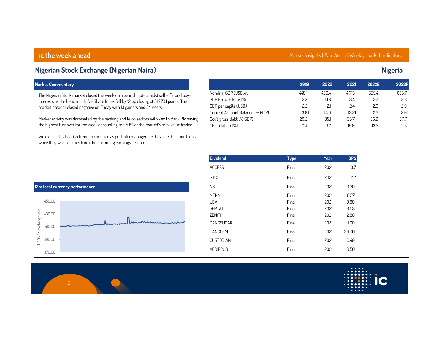| <b>Market Commentary</b>                                                                                                                                  |                                 | 2019        | 2020  | 2021       | 2022E | 2023F |
|-----------------------------------------------------------------------------------------------------------------------------------------------------------|---------------------------------|-------------|-------|------------|-------|-------|
| The Nigerian Stock market closed the week on a bearish note amidst sell-offs and buy-                                                                     | Nominal GDP (USDbn)             | 448.1       | 429.4 | 417.3      | 555.4 | 635.7 |
| interests as the benchmark All-Share Index fell by 121bp closing at 51,778.1 points. The                                                                  | GDP Growth Rate (%)             | 2.2         | (1.8) | 3.4        | 2.7   | 2.6   |
| market breadth closed negative on Friday with 13 gainers and 54 losers                                                                                    | GDP per capita (USD)            | 2.2         | 2.1   | 2.4        | 2.6   | 2.9   |
|                                                                                                                                                           | Current Account Balance (% GDP) | (3.8)       | (4.0) | (3.2)      | (2.2) | (2.0) |
| Market activity was dominated by the banking and telco sectors with Zenith Bank Plc having                                                                | Gov't gross debt (% GDP)        | 29.2        | 35.1  | 35.7       | 36.9  | 37.7  |
| the highest turnover for the week accounting for 15.1% of the market's total value traded.                                                                | CPI Inflation (%)               | 11.4        | 13.2  | 16.9       | 13.5  | 11.8  |
| We expect this bearish trend to continue as portfolio managers re-balance their portfolios<br>while they wait for cues from the upcoming earnings season. |                                 |             |       |            |       |       |
|                                                                                                                                                           | <b>Dividend</b>                 | <b>Type</b> | Year  | <b>DPS</b> |       |       |
|                                                                                                                                                           | <b>ACCESS</b>                   | Final       | 2021  | 0.7        |       |       |
|                                                                                                                                                           | <b>GTCO</b>                     | Final       | 2021  | 2.7        |       |       |
| 12m local currency performance                                                                                                                            | <b>NB</b>                       | Final       | 2021  | 1.20       |       |       |
|                                                                                                                                                           | <b>MTNN</b>                     | Final       | 2021  | 8.57       |       |       |
| 450.00                                                                                                                                                    | UBA                             | Final       | 2021  | 0.80       |       |       |
|                                                                                                                                                           | <b>SEPLAT</b>                   | Final       | 2021  | 0.03       |       |       |
| 430.00                                                                                                                                                    | ZENITH                          | Final       | 2021  | 2.80       |       |       |
| 410.00                                                                                                                                                    | DANGSUGAR                       | Final       | 2021  | 1.00       |       |       |
| USDNGN exchange rate                                                                                                                                      | DANGCEM                         | Final       | 2021  | 20.00      |       |       |
| 390.00                                                                                                                                                    | <b>CUSTODIAN</b>                | Final       | 2021  | 0.40       |       |       |

**Nigerian Stock Exchange (Nigerian Naira) Nigeria**

**ic the week ahead Market insights | Pan-Africa | Weekly market indicators** 

|                                 | 2019  | 2020  | 2021  | 2022E | 2023F |
|---------------------------------|-------|-------|-------|-------|-------|
| Nominal GDP (USDbn)             | 448.1 | 4294  | 417.3 | 555.4 | 635.7 |
| GDP Growth Rate (%)             | 2.2   | (1.8) | 3.4   | 2.7   | 2.6   |
| GDP per capita (USD)            | 2.2   | 21    | 24    | 2.6   | 2.9   |
| Current Account Balance (% GDP) | (3.8) | (4.0) | (3.2) | (2.2) | (2.0) |
| Gov't gross debt (% GDP)        | 29.2  | 35.1  | 35.7  | 36.9  | 37.7  |
|                                 |       |       |       |       |       |





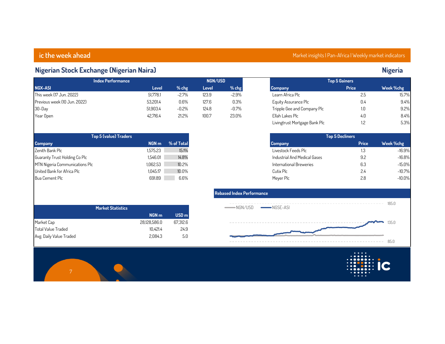# **Nigerian Stock Exchange (Nigerian Naira) Nigeria**

| <b>Index Performance</b>     |          | NGN/USD  |       |          |                             | <b>Top 5 Gainers</b> |           |  |  |
|------------------------------|----------|----------|-------|----------|-----------------------------|----------------------|-----------|--|--|
| <b>NGX-ASI</b>               | Level    | $%$ chg  | Level | $%$ chg  | <b>Company</b>              | <b>Price</b>         | Week %chg |  |  |
| This week (17 Jun. 2022)     | 51.778.1 | $-2.7\%$ | 123.9 | $-2.9\%$ | Learn Africa Plc            | 2.5                  | 15.7%     |  |  |
| Previous week (10 Jun. 2022) | 53.201.4 | 0.6%     | 127.6 | 0.3%     | Equity Assurance Plc        | 0.4                  | 9.4%      |  |  |
| 30-Day                       | 51.903.4 | $-0.2\%$ | 124.8 | $-0.7\%$ | Tripple Gee and Company Plc | 1.0                  | 9.2%      |  |  |
| Year Open                    | 42.716.4 | 21.2%    | 100.7 | 23.0%    | Ellah Lakes Plc             | 4.0                  | 8.4%      |  |  |

| <b>Top 5 (value) Traders</b>               |                |
|--------------------------------------------|----------------|
| <b>Company</b><br>NGN <sub>m</sub>         | % of Total     |
| Zenith Bank Plc<br>1.575.23                | 15.1%          |
| 1.546.01<br>Guaranty Trust Holding Co Plc  | 14.8%          |
| 1.062.53<br>MTN Nigeria Communications Plc | 10.2%          |
| 1.045.17<br>United Bank for Africa Plc     | 10.0%          |
| Bua Cement Plc                             | 691.89<br>6.6% |

|                         | <b>Market Statistics</b> |                  |
|-------------------------|--------------------------|------------------|
|                         | NGN <sub>m</sub>         | USD <sub>m</sub> |
| Market Cap              | 28.128.586.0             | 67.312.6         |
| Total Value Traded      | 10.421.4                 | 24.9             |
| Avg. Daily Value Traded | 2.084.3                  | 5.0              |

# **ic the week ahead Market insights | Pan-Africa | Weekly market indicators**

| <b>Top 5 Gainers</b>          |       |           |  |  |  |  |  |
|-------------------------------|-------|-----------|--|--|--|--|--|
| Company                       | Price | Week %chg |  |  |  |  |  |
| Learn Africa Plc              | 2.5   | 15.7%     |  |  |  |  |  |
| Equity Assurance Plc          | 0.4   | 9.4%      |  |  |  |  |  |
| Tripple Gee and Company Plc   | 1.0   | 9.2%      |  |  |  |  |  |
| Ellah Lakes Plc               | 4.0   | 8.4%      |  |  |  |  |  |
| Livingtrust Mortgage Bank Plc | 12    | 5.3%      |  |  |  |  |  |

|                              | <b>Top 5 Decliners</b> |           |
|------------------------------|------------------------|-----------|
| Company                      | <b>Price</b>           | Week %chg |
| Livestock Feeds Plc          | 1.3                    | $-16.9%$  |
| Industrial And Medical Gases | 92                     | $-16.8%$  |
| International Breweries      | 6.3                    | $-15.0%$  |
| Cutix Plc                    | 24                     | $-10.7%$  |
| Meyer Plc                    | 28                     | $-10.0\%$ |

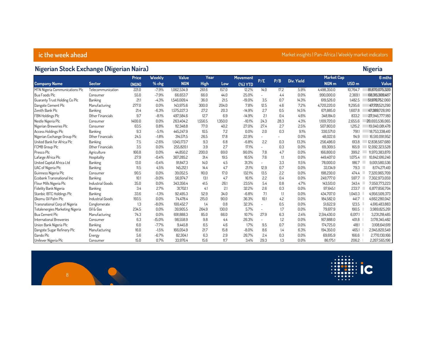### **ic the week ahead Market insights | Pan-Africa | Weekly market indicators**

# **Nigerian Stock Exchange (Nigerian Naira) Nigeria**

|                                 |                   | <b>Price</b> | Weekly   | Value       | Year        |         | <b>Movement</b> |                          |      |                   | <b>Market Cap</b> |                  | 6 mths         |
|---------------------------------|-------------------|--------------|----------|-------------|-------------|---------|-----------------|--------------------------|------|-------------------|-------------------|------------------|----------------|
| <b>Company Name</b>             | <b>Sector</b>     | (NGN)        | % chg    | <b>NGN</b>  | <b>High</b> | Low     | [%] <b>YTD</b>  | P/E                      | P/B  | <b>Div. Yield</b> | NGN <sub>m</sub>  | USD <sub>m</sub> | Value          |
| MTN Nigeria Communications Plc  | Telecommunication | 221.0        | $-7.9%$  | 1,062,534.9 | 261.6       | 157.0   | 12.2%           | 14.0                     | 17.2 | 5.9%              | 4,498,350.0       | 10.764.7         | 81.870.075.320 |
| <b>Bua Foods Plc</b>            | Consumer          | 55.0         | $-7.9%$  | 66.653.7    | 66.0        | 44.0    | 25.0%           | $\overline{a}$           | 4.4  | 0.0%              | 990.000.0         | 2,369.1          | 68,315,309,487 |
| Guaranty Trust Holding Co Plc   | Banking           | 21.1         | $-4.3%$  | 1.546.009.4 | 36.0        | 21.5    | $-19.0%$        | 3.5                      | 0.7  | 14.3%             | 619,526.0         | 1.482.5          | 51,976,752,060 |
| Dangote Cement Plc              | Manufacturing     | 277.0        | 0.0%     | 143,975.6   | 300.0       | 204.0   | 7.8%            | 12.5                     | 4.6  | 7.2%              | 4,720,220.0       | 11.295.6         | 47.721.521.290 |
| Zenith Bank Plc                 | Banking           | 21.4         | $-6.3%$  | 1,575,227.3 | 27.2        | 20.3    | $-14.9%$        | 2.7                      | 0.5  | 14.5%             | 671,885.0         | 1.607.8          | 47,389,728,910 |
| FBN Holdings Plc                | Other Financials  | 9.7          | $-8.1%$  | 497.584.6   | 12.7        | 6.9     | $-14.9%$        | 2.1                      | 0.4  | 4.6%              | 348.184.0         | 833.2            | 27,946,777,180 |
| Nestle Nigeria Plc              | Consumer          | 1400.0       | 0.0%     | 263.404.2   | 1.556.5     | 1.350.0 | $-10.1%$        | 24.3                     | 28.3 | 4.3%              | 1.109.720.0       | 2.655.6          | 20.693.536.065 |
| Nigerian Breweries Plc          | Consumer          | 63.5         | 0.8%     | 112,348.8   | 77.0        | 40.2    | 27.0%           | 27.4                     | 2.7  | 2.5%              | 507,803.0         | 1.215.2          | 19,040,081,478 |
| Access Holdings Plc             | Banking           | 9.3          | $-5.1%$  | 445,247.9   | 10.5        | 7.2     | 0.0%            | 2.0                      | 0.3  | 9.1%              | 330,571.0         | 7911             | 18,753,338,410 |
| Nigerian Exchange Group Plc     | Other Financials  | 24.5         | $-1.8%$  | 314,571.5   | 26.5        | 17.8    | 22.9%           | $\overline{a}$           |      | 0.0%              | 48,022.6          | 114.9            | 16,510,091,952 |
| United Bank for Africa Plc      | Banking           | 7.5          | $-2.6%$  | 1.045.173.7 | 9.3         | 6.8     | $-6.8%$         | 2.2                      | 0.3  | 13.3%             | 256.496.0         | 613.8            | 12,838,567,680 |
| FCMB Group Plc                  | Other Financials  | 3.5          | 0.0%     | 255,820.1   | 3.9         | 2.7     | 17.1%           | $\overline{a}$           | 0.3  | 0.0%              | 69,309.5          | 165.9            | 12,092,323,528 |
| Presco Plc                      | Agriculture       | 166.8        | $0.0\%$  | 44.850.2    | 200.0       | 69.0    | 90.0%           | 7.8                      | 4.7  | 0.0%              | 166,800.0         | 399.2            | 11,970,383,870 |
| Lafarge Africa Plc              | Hospitality       | 27.9         | $-0.4%$  | 367.285.2   | 31.4        | 19.5    | 16.5%           | 7.6                      | 1.1  | 0.0%              | 449.407.0         | 1.075.4          | 10.842.616.246 |
| United Capital Africa Ltd       | Banking           | 13.0         | $-0.4%$  | 91.847.3    | 14.0        | 4.5     | 31.3%           | $\overline{a}$           | 3.3  | 11.5%             | 78.000.0          | 186.7            | 9,001,580,536  |
| UAC of Nigeria Plc              | Banking           | 11.5         | 4.5%     | 145.212.1   | 14.4        | 4.7     | 21.1%           | 12.9                     | 0.7  | 0.0%              | 33,134.9          | 79.3             | 8.174.271.410  |
| Guinness Nigeria Plc            | Consumer          | 90.5         | 0.0%     | 39,052.5    | 110.0       | 17.0    | 132.1%          | 13.5                     | 2.2  | 0.0%              | 198,230.0         | 474.4            | 7,320,965,709  |
| Ecobank Transnational Inc       | Banking           | 10.1         | $-9.0%$  | 56.974.7    | 13.1        | 4.7     | 16.1%           | 2.2                      | 0.4  | 0.0%              | 249,777.0         | 597.7            | 7.302.973.059  |
| Flour Mills Nigeria Plc         | Industrial Goods  | 35.0         | 0.0%     | 343,356.4   | 41.5        | 26.1    | 23.5%           | 5.4                      | 0.8  | 4.7%              | 143,513.0         | 343.4            | 7,050,773,223  |
| Fidelity Bank Nigeria           | Banking           | 3.4          | 2.7%     | 31,702.1    | 4.1         | 2.1     | 32.2%           | 2.6                      | 0.3  | 0.0%              | 97,645.1          | 233.7            | 6,877,856,704  |
| Stanbic IBTC Holdings Plc       | Banking           | 33.6         | $-1.3%$  | 92.495.3    | 52.9        | 34.0    | $-6.8%$         | 7.1                      | 1.1  | 0.0%              | 434.707.0         | 1.040.3          | 4.956.509.373  |
| Okomu Oil Palm Plc              | Industrial Goods  | 193.5        | 0.0%     | 74.478.4    | 215.0       | 90.0    | 36.3%           | 10.1                     | 4.2  | 0.0%              | 184,582.0         | 441.7            | 4,662,280,042  |
| Transnational Corp of Nigeria   | Conglomerate      | 1.3          | $-8.0%$  | 100,452.7   | 1.4         | 0.8     | 32.3%           | $\overline{a}$           | 0.5  | 0.0%              | 51,622.9          | 123.5            | 4,616,483,883  |
| Totalenergies Marketing Nigeria | Oil & Gas         | 234.5        | 0.0%     | 39.905.5    | 264.9       | 130.0   | 5.7%            | $\overline{\phantom{a}}$ | 1.7  | 0.0%              | 79,617.9          | 190.5            | 3,989,825,261  |
| <b>Bua Cement Plc</b>           | Manufacturing     | 74.3         | 0.0%     | 691.888.3   | 85.0        | 66.0    | 10.7%           | 27.9                     | 6.3  | 2.4%              | 2.514.430.0       | 6.017.1          | 3,231,218,485  |
| International Breweries         | Consumer          | 6.3          | $-15.0%$ | 98,558.9    | 9.8         | 4.4     | 26.3%           | $\overline{a}$           | 1.2  | 0.0%              | 167,888.0         | 401.8            | 3,178,345,482  |
| Union Bank Nigeria Plc          | Banking           | 6.0          | $-7.7%$  | 9.445.8     | 6.5         | 4.6     | 1.7%            | 9.5                      | 0.7  | 0.0%              | 174,725.0         | 418.1            | 3,108,641,619  |
| Dangote Sugar Refinery Plc      | Manufacturing     | 16.0         | $-1.5%$  | 166.054.9   | 21.7        | 15.8    | $-8.0%$         | 8.6                      | 1.4  | 6.3%              | 194.350.0         | 465.1            | 2.945.820.549  |
| <b>Oando Plc</b>                | Energy            | 5.6          | $-6.7%$  | 82,304.1    | 6.3         | 2.9     | 26.7%           | 2.4                      | 0.3  | 0.0%              | 69,615.9          | 166.6            | 2,770,130,166  |
| Unilever Nigeria Plc            | Consumer          | 15.0         | 0.7%     | 33.976.4    | 15.6        | 11.7    | 3.4%            | 29.3                     | 1.3  | 0.0%              | 86.175.1          | 206.2            | 2,267,565,196  |

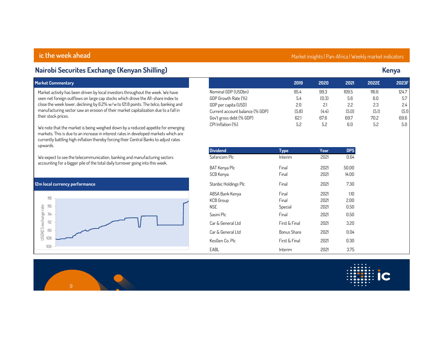| Nairobi Securites Exchange (Kenyan Shilling)                                                                                                                                                                                                                                                                                                                             |                                                                                                                                   |                                     |                                       |                                      |                                      | <b>Kenya</b>                         |
|--------------------------------------------------------------------------------------------------------------------------------------------------------------------------------------------------------------------------------------------------------------------------------------------------------------------------------------------------------------------------|-----------------------------------------------------------------------------------------------------------------------------------|-------------------------------------|---------------------------------------|--------------------------------------|--------------------------------------|--------------------------------------|
| <b>Market Commentary</b>                                                                                                                                                                                                                                                                                                                                                 |                                                                                                                                   | 2019                                | 2020                                  | 2021                                 | 2022E                                | 2023F                                |
| Market activity has been driven by local investors throughout the week. We have<br>seen net foreign outflows on large cap stocks which drove the All-share index to<br>close the week lower, declining by 6.2% w/w to 121.8 points. The telco, banking and<br>manufacturing sector saw an erosion of their market capitalization due to a fall in<br>their stock prices. | Nominal GDP (USDbn)<br>GDP Growth Rate (%)<br>GDP per capita (USD)<br>Current account balance (% GDP)<br>Gov't gross debt (% GDP) | 95.4<br>5.4<br>2.0<br>(5.8)<br>62.1 | 99.3<br>(0.3)<br>2.1<br>(4.4)<br>67.6 | 109.5<br>5.6<br>2.2<br>(5.0)<br>69.7 | 116.6<br>6.0<br>2.3<br>(5.1)<br>70.2 | 124.7<br>5.7<br>2.4<br>(5.1)<br>69.6 |
| We note that the market is being weighed down by a reduced appetite for emerging<br>markets. This is due to an increase in interest rates in developed markets which are<br>currently battling high inflation thereby forcing their Central Banks to adjust rates<br>upwards.                                                                                            | CPI Inflation (%)                                                                                                                 | 5.2                                 | 5.2                                   | 6.0                                  | 5.2                                  | 5.0                                  |
| We expect to see the telecommunication, banking and manufacturing sectors<br>accounting for a bigger pile of the total daily turnover going into this week.                                                                                                                                                                                                              | <b>Dividend</b><br>Safaricom Plc                                                                                                  | <b>Type</b><br>Interim              | Year<br>2021                          | <b>DPS</b><br>0.64                   |                                      |                                      |
|                                                                                                                                                                                                                                                                                                                                                                          | <b>BAT Kenya Plc</b><br>SCB Kenya                                                                                                 | Final<br>Final                      | 2021<br>2021                          | 50.00<br>14.00                       |                                      |                                      |
| 12m local currency performance                                                                                                                                                                                                                                                                                                                                           | Stanbic Holdings Plc                                                                                                              | Final                               | 2021                                  | 7.30                                 |                                      |                                      |
| 118<br>USDKES exchange rate<br>116<br>114                                                                                                                                                                                                                                                                                                                                | ABSA Bank Kenya<br>KCB Group<br><b>NSE</b><br>Sasini Plc                                                                          | Final<br>Final<br>Special<br>Final  | 2021<br>2021<br>2021<br>2021          | 1.10<br>2.00<br>0.50<br>0.50         |                                      |                                      |
| 112                                                                                                                                                                                                                                                                                                                                                                      | Car & General Ltd                                                                                                                 | First & Final                       | 2021                                  | 3.20                                 |                                      |                                      |
| 110                                                                                                                                                                                                                                                                                                                                                                      | Car & General Ltd                                                                                                                 | Bonus Share                         | 2021                                  | 0.04                                 |                                      |                                      |
| 108                                                                                                                                                                                                                                                                                                                                                                      | KesGen Co. Plc                                                                                                                    | First & Final                       | 2021                                  | 0.30                                 |                                      |                                      |
| 106                                                                                                                                                                                                                                                                                                                                                                      | EABL                                                                                                                              | Interim                             | 2021                                  | 3.75                                 |                                      |                                      |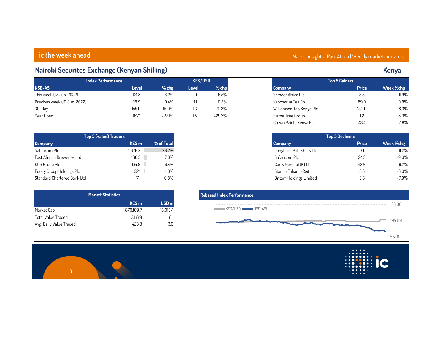# **Nairobi Securites Exchange (Kenyan Shilling) Kenya**

| <b>Index Performance</b>     |       | <b>KES/USD</b> |       |          | <b>Top 5 Gainers</b>     |              |           |  |
|------------------------------|-------|----------------|-------|----------|--------------------------|--------------|-----------|--|
| <b>NSE-ASI</b>               | Level | $%$ chg        | Level | $%$ chg  | <b>Company</b>           | <b>Price</b> | Week %chg |  |
| This week (17 Jun. 2022)     | 121.8 | $-6.2%$        | 1.0   | $-6.5%$  | Sameer Africa Plc        | 3.3          | 11.9%     |  |
| Previous week (10 Jun. 2022) | 129.9 | 0.4%           | IJ    | 0.2%     | Kapchorua Tea Co         | 89.0         | 9.9%      |  |
| 30-Day                       | 145.0 | $-16.0%$       | 1.3   | -20.3%   | Williamson Tea Kenya Plc | 130.0        | 8.3%      |  |
| Year Open                    | 167.1 | $-27.1%$       |       | $-29.7%$ | Flame Tree Group         |              | 8.0%      |  |

| <b>Top 5 (value) Traders</b> |                  |            |
|------------------------------|------------------|------------|
| <b>Company</b>               | KES <sub>m</sub> | % of Total |
| Safaricom Plc                | 1.626.2          | 76.7%      |
| East African Breweries Ltd   | 166.3            | 7.8%       |
| <b>KCB Group Plc</b>         | 134.9            | $6.4\%$    |
| Equity Group Holdings Plc    | 92.1             | 4.3%       |
| Standard Chartered Bank Ltd  | 17.1             | 0.8%       |

|                         | <b>Market Statistics</b> |                  |
|-------------------------|--------------------------|------------------|
|                         | <b>KES</b> m             | USD <sub>m</sub> |
| Market Cap              | 1.879.169.7              | 16.013.4         |
| Total Value Traded      | 2.118.9                  | 18.1             |
| Avg. Daily Value Traded | 423.8                    | 3.6              |

# **ic the week ahead Market insights | Pan-Africa | Weekly market indicators**

|                          | <b>Top 5 Gainers</b> |           |
|--------------------------|----------------------|-----------|
|                          |                      |           |
| Company                  | <b>Price</b>         | Week %chg |
| Sameer Africa Plc        | 3.3                  | 11.9%     |
| Kapchorua Tea Co         | 89.0                 | 9.9%      |
| Williamson Tea Kenya Plc | 130.0                | 8.3%      |
| Flame Tree Group         | 1.2                  | 8.0%      |
| Crown Paints Kenya Plc   | 43.4                 | 7.8%      |

| <b>Top 5 Decliners</b>  |       |           |  |  |  |  |  |  |  |  |
|-------------------------|-------|-----------|--|--|--|--|--|--|--|--|
| <b>Company</b>          | Price | Week %chg |  |  |  |  |  |  |  |  |
| Longhorn Publishers Ltd | 3.1   | $-11.2%$  |  |  |  |  |  |  |  |  |
| Safaricom Plc           | 243   | $-9.0%$   |  |  |  |  |  |  |  |  |
| Car & General (K) Ltd   | 42 A  | $-8.7%$   |  |  |  |  |  |  |  |  |
| Stanlib Fahari I-Reit   | 5.5   | $-8.0%$   |  |  |  |  |  |  |  |  |
| Britam Holdings Limited | 5.6   | $-7.9%$   |  |  |  |  |  |  |  |  |



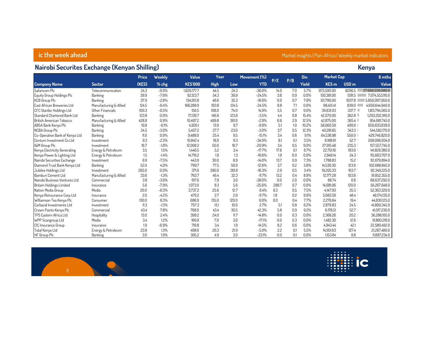### **ic the week ahead Market insights | Pan-Africa | Weekly market indicators**

### **Nairobi Securites Exchange (Kenyan Shilling) Kenya**

|                                 |                        | Price | <b>Weekly</b> | Value          | Year        |       | Movement (%) | P/E   | P/B | Div.         | <b>Market Cap</b> |                  | 6 mths           |  |
|---------------------------------|------------------------|-------|---------------|----------------|-------------|-------|--------------|-------|-----|--------------|-------------------|------------------|------------------|--|
| <b>Company Name</b>             | <b>Sector</b>          | (KES) | $%$ chg       | <b>KES'000</b> | <b>High</b> | Low   | <b>YTD</b>   |       |     | <b>Yield</b> | <b>KES</b> m      | USD <sub>m</sub> | Value            |  |
| Safaricom Plc                   | Telecommunication      | 24.3  | $-9.0%$       | 1,626,177.7    | 44.5        | 24.3  | $-36.0%$     | 14.0  | 7.0 | 5.7%         | 973,590.00        | 8296.5           | 27.666.039.980.0 |  |
| Equity Group Holdings Plc       | Banking                | 39.9  | $-7.6%$       | 92,123.7       | 54.3        | 39.9  | $-24.5%$     | 3.6   | 0.9 | 0.0%         | 150.381.00        | 1281.5           | 7.074.553.110.0  |  |
| <b>KCB Group Plc</b>            | Banking                | 37.9  | $-2.8%$       | 134,913.8      | 48.6        | 35.3  | $-16.6%$     | 0.0   | 0.7 | 7.9%         | 121.790.00        | 1037.8           | 5,850,097,950.0  |  |
| East African Breweries Ltd      | Manufacturing & Allied | 124.5 | $-6.4%$       | 166,288.9      | 193.8       | 124.5 | $-24.5%$     | 8.8   | 7.1 | 0.0%         | 98.451.41         | 839.0            | 4.659.644.940.0  |  |
| CFC Stanbic Holdings Ltd        | Other Financials       | 100.3 | $-0.5%$       | 156.5          | 108.0       | 74.0  | 14.9%        | 5.5   | 0.7 | 9.0%         | 39,631.03         | 337.7            | 1,813,794,565.0  |  |
| Standard Chartered Bank Ltd     | Banking                | 123.8 | 0.0%          | 17,139.7       | 146.8       | 123.8 | $-3.5%$      | 4.4   | 0.8 | 15.4%        | 42,570.00         | 362.8            | 1.293.202.910.0  |  |
| <b>British American Tobacco</b> | Manufacturing & Allied | 428.8 | 0.9%          | 10.497.2       | 499.8       | 361.0 | $-2.9%$      | 6.6   | 2.9 | 12.5%        | 42.875.00         | 365.4            | 954.681.745.0    |  |
| ABSA Bank Kenya Plc             | Banking                | 10.8  | $-6.1%$       | 4,920.1        | 13.9        | 9.7   | $-8.9%$      | 5.1   | 1.0 | 10.2%        | 58.660.59         | 499.9            | 650,633,839.0    |  |
| NCBA Group Plc                  | Banking                | 24.5  | $-3.0%$       | 5,457.2        | 27.7        | 23.0  | $-3.0%$      | 3.7   | 0.5 | 12.3%        | 40.281.85         | 343.3            | 544,582,170.0    |  |
| Co-Operative Bank of Kenya Ltd  | Banking                | 11.0  | 0.9%          | 9,488.0        | 25.4        | 9.5   | $-15.1%$     | 3.4   | 0.6 | 9.1%         | 64,538,98         | 550.0            | 429,746,820.0    |  |
| Centum Investment Co Ltd        | Investment             | 9.3   | $-2.3%$       | 10.842.4       | 18.0        | 9.3   | $-34.0%$     | 8.1   | 0.1 | 3.5%         | 6.188.61          | 52.7             | 208.096.934.0    |  |
| I&M Group Plc                   | Investment             | 16.7  | $-1.8%$       | 12.008.2       | 50.0        | 16.7  | $-20.9%$     | 3.4   | 0.5 | 9.0%         | 27.615.48         | 235.3            | 157,557,745.0    |  |
| Kenya Electricity Generating    | Energy & Petroleum     | 3.5   | 1.5%          | 1.446.5        | 5.2         | 3.4   | $-17.7%$     | 17.6  | 0.1 | 8.7%         | 22,751.10         | 193.9            | 141,828,380.0    |  |
| Kenya Power & Lighting Ltd      | Energy & Petroleum     | 1.5   | $-1.4%$       | 14.719.2       | 1.9         | 1.3   | $-16.6%$     | 1.9   | 0.0 | 0.0%         | 2.849.14          | 24.3             | 115,663,707.0    |  |
| Nairobi Securities Exchange     | Investment             | 6.9   | $-7.5%$       | 443.9          | 30.0        | 6.9   | $-14.0%$     | 13.7  | 0.9 | 7.3%         | 1.788.83          | 15.2             | 112.679.894.0    |  |
| Diamond Trust Bank Kenya Ltd    | Banking                | 52.0  | 4.0%          | 799.7          | 77.5        | 50.0  | $-12.6%$     | 3.7   | 0.2 | 5.8%         | 14,539.30         | 123.9            | 102,688,845.0    |  |
| Jubilee Holdings Ltd            | Investment             | 265.0 | 0.0%          | 371.0          | 390.0       | 261.8 | $-16.3%$     | 2.9   | 0.5 | 3.4%         | 19,205.33         | 163.7            | 92,349,225.0     |  |
| Bamburi Cement Ltd              | Manufacturing & Allied | 33.6  | $-1.3%$       | 763.7          | 46.4        | 32.3  | $-11.7%$     | 13.2  | 0.4 | 8.9%         | 12.177.28         | 103.8            | 91,852,355.0     |  |
| Nairobi Business Ventures Ltd   | Commercial             | 3.8   | $-3.6%$       | 197.6          | 7.9         | 3.0   | $-38.0%$     | 0.0   | 2.0 | 0.0%         | 88.74             | 0.8              | 68,637,292.0     |  |
| <b>Britam Holdings Limited</b>  | Insurance              | 5.6   | $-7.9%$       | 1.073.0        | 8.3         | 5.6   | $-25.6%$     | 286.7 | 0.7 | 0.0%         | 14.081.06         | 120.0            | 56,267,648.0     |  |
| Nation Media Group              | Media                  | 20.0  | $-6.3%$       | 3,737.2        | 25.6        | 12.7  | 8.4%         | 8.3   | 0.5 | 7.5%         | 4.147.93          | 35.3             | 52,363,320.0     |  |
| Kenya Reinsurance Corp Ltd      | Insurance              | 2.0   | $-4.2%$       | 470.2          | 2.7         | 2.0   | $-11.7%$     | 1.9   | 0.2 | 9.9%         | 5,683.59          | 48.4             | 46,174,135.0     |  |
| Williamson Tea Kenya Plc        | Consumer               | 130.0 | 8.3%          | 686.9          | 135.0       | 120.0 | 0.0%         | 0.0   | 0.4 | 7.7%         | 2.276.64          | 19.4             | 44.830.125.0     |  |
| Carbacid Investments Ltd        | Investment             | 11.3  | $-1.3%$       | 757.3          | 13.1        | 10.0  | 2.7%         | 5.1   | 0.8 | 6.2%         | 2.879.83          | 24.5             | 41,800,345.0     |  |
| Crown Paints Kenya Plc          | Commercial             | 43.4  | 7.8%          | 768.0          | 43.4        | 30.5  | 42.3%        | 5.8   | 0.9 | 9.2%         | 6.178.51          | 52.7             | 41,017,230.0     |  |
| TPS Eastern Africa Ltd          | Hospitality            | 13.0  | 2.4%          | 399.2          | 24.0        | 11.7  | $-14.8%$     | 0.0   | 0.3 | 0.0%         | 2.368.26          | 20.2             | 36,288,105.0     |  |
| WPP Scangroup Ltd               | Media                  | 3.4   | 1.2%          | 166.8          | 7.0         | 3.0   | $-17.1%$     | 0.0   | 0.3 | 0.0%         | 1,482.30          | 12.6             | 31.860.218.0     |  |
| CIC Insurance Group             | Insurance              | 1.9   | $-6.9%$       | 719.8          | 3.4         | 1.9   | $-14.5%$     | 8.2   | 0.6 | 0.0%         | 4.943.44          | 42.1             | 22,589,492.0     |  |
| Total Kenya Ltd                 | Energy & Petroleum     | 23.8  | 1.3%          | 498.6          | 26.3        | 21.9  | $-5.0%$      | 2.2   | 0.1 | 5.5%         | 14.951.63         | 127.4            | 21,267,480.0     |  |
| HF Group Plc                    | Banking                | 3.0   | 1.0%          | 305.2          | 4.9         | 3.0   | $-23.1%$     | 0.0   | 0.1 | 0.0%         | 1.153.84          | 9.8              | 11,897,234.0     |  |



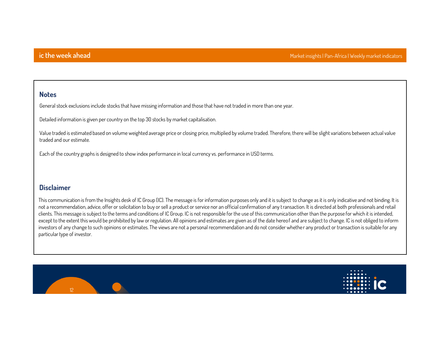### **Notes**

**General stock exclusions include stocks that have missing information and those that have not traded in more than one year.**

**Detailed information is given per country on the top 30 stocks by market capitalisation.**

**Value traded is estimated based on volume weighted average price or closing price, multiplied by volume traded. Therefore, there will be slight variations between actual value traded and our estimate.**

**Each of the country graphs is designed to show index performance in local currency vs. performance in USD terms.**

### **Disclaimer**

**This communication is from the Insights desk of IC Group (IC). The message is for information purposes only and it is subject to change as it is only indicative and not binding. It is not a recommendation, advice, offer or solicitation to buy or sell a product or service nor an official confirmation of any transaction. It is directed at both professionals and retail clients. This message is subject to the terms and conditions of IC Group. IC is not responsible for the use of this communica tion other than the purpose for which it is intended, except to the extent this would be prohibited by law or regulation. All opinions and estimates are given as of the date hereof and are subject to change. IC is not obliged to inform investors of any change to such opinions or estimates. The views are not a personal recommendation and do not consider whethe r any product or transaction is suitable for any particular type of investor.**